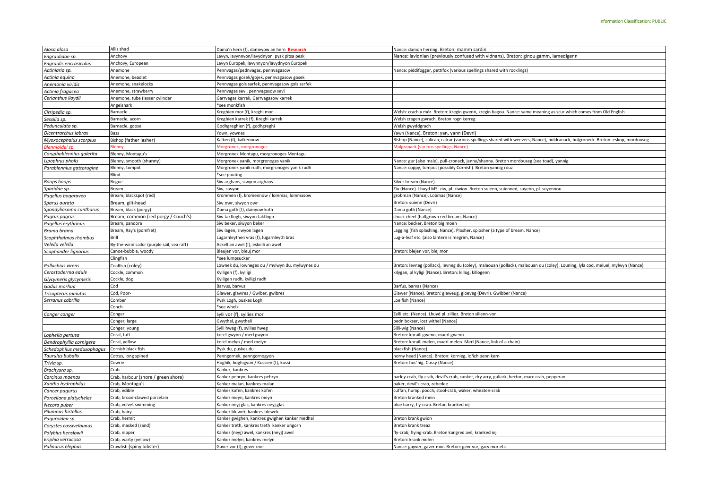| Alosa alosa                           | Allis shad                                 | Dama'n hern (f), dameyow an hern Research       | Nance: damon herring. Breton: mamm sardin                                                                                        |
|---------------------------------------|--------------------------------------------|-------------------------------------------------|----------------------------------------------------------------------------------------------------------------------------------|
| Engraulidae sp.                       | Anchovy                                    | Lavyn, lavynnyon/lavydnyon pysk pitsa pesk      | Nance: lavidnian (previously confused with vidnans). Breton: ginou gamm, lamedigenn                                              |
| Engraulis encrasicolus                | Anchovy, European                          | Lavyn Europek, lavynnyon/lavydnyon Europek      |                                                                                                                                  |
| Actiniaria sp.                        | Anemone                                    | Pennvagas/pednvagas, pennvagasow                | Nance: piddifogger, pettifox (various spellings shared with rocklings)                                                           |
| Actinia equina                        | Anemone, beadlet                           | Pennvagas gosek/gojek, pennvagasow gosek        |                                                                                                                                  |
| Anemonia viridis                      | Anemone, snakelocks                        | Pennvagas gols sarfek, pennvagasow gols serfek  |                                                                                                                                  |
| Actinia fragacea                      | Anemone, strawberry                        | Pennvagas sevi, pennvagasow sevi                |                                                                                                                                  |
| Cerianthus lloydii                    | Anemone, tube (lesser cylinder             | Garrvagas karrek, Garrvagasow karrek            |                                                                                                                                  |
|                                       | Angelshark                                 | see monkfish                                    |                                                                                                                                  |
| Cirripedia sp.                        | Barnacle                                   | Kreghien mor (f), kreghi mor                    | Welsh: crach y môr. Breton: kregin gwenn, kregin bagou. Nance: same meaning as scur which comes from Old English                 |
| Sessilia sp.                          | Barnacle, acorn                            | Kreghien karrek (f), Kreghi karrek              | Welsh cragen gwrach, Breton rogn kerreg                                                                                          |
| Pedunculata sp.                       | Barnacle, goose                            | Godhgreghien (f), godhgreghi                    | Welsh gwyddgrach                                                                                                                 |
| Dicentrarchus labrax                  | Bass                                       | Yown, yownes                                    | Yawn (Nance). Breton: yan, yann (Devri)                                                                                          |
| Myoxocephalus scorpius                | Bishop (father lasher)                     | (alken (f), kalkennow                           | Bishop (Nance), calican, calcar (various spellings shared with weevers, Nance), buldranack, bulgroneck. Breton: eskop, mordouseg |
| 3lennioidei sp                        | lenni                                      | Aorgronek, morgronog                            | Mulgranack (various spellings, Nance                                                                                             |
| Coryphoblennius galerita              | Blenny, Montagu's                          | Morgronek Montagu, morgronoges Montagu          |                                                                                                                                  |
| Lipophrys pholis                      | Blenny, smooth (shanny)                    | Morgronek yanik, morgronoges yanik              | Nance: gur (also male), pull-cronack, janny/shanny. Breton mordouseg (sea toad), yannig                                          |
| Parablennius gattorugine              | Blenny, tompot                             | Morgronek yanik rudh, morgronoges yanik rudh    | Nance: coppy, tompot (possibly Cornish). Breton yannig rouz                                                                      |
|                                       | Blind                                      | 'see pouting                                    |                                                                                                                                  |
| Boops boops                           | Bogue                                      | Siw arghans, siwyon arghans                     | Silver bream (Nance)                                                                                                             |
| Sparidae sp.                          | Bream                                      | Siw, siwyon                                     | Ziu (Nance). Lhuyd MS. ziw, pl. ziwion. Breton suienn, suienned, suyenn, pl. suyennou                                            |
| Pagellus bogaraveo                    | Bream, blackspot (red)                     | Krommen (f), kromennow / lommas, lommasow       | grobman (Nance). Lobmas (Nance)                                                                                                  |
| Sparus aurata                         | Bream, gilt-head                           | Siw owr, siwyon owr                             | Breton: suienn (Devri)                                                                                                           |
| Spondyliosoma cantharus               | Bream, black (porgy)                       | Dama goth (f), damyow koth                      | Dama goth (Nance)                                                                                                                |
| Pagrus pagrus                         | Bream, common (red porgy / Couch's)        | Siw takflogh, siwyon takflogh                   | chuck cheel (halfgrown red bream, Nance)                                                                                         |
| Pagellus erythrinus                   | Bream, pandora                             | Siw beker, siwyon beker                         | Nance: becker. Breton big moen                                                                                                   |
| Brama brama                           | Bream, Ray's (pomfret)                     | Siw lagen, siwyon lager                         | Lagging (fish splashing, Nance). Plosher, splosher (a type of bream, Nance)                                                      |
| Scophthalmus rhombus                  | Brill                                      | ugarnleythen vras (f), lugarnleyth bras         | Lug-a-leaf etc. (also lantern is megrim, Nance)                                                                                  |
| Velella velella                       | By-the-wind sailor (purple sail, sea raft) | Askell an awel (f), eskelli an awel             |                                                                                                                                  |
|                                       |                                            |                                                 |                                                                                                                                  |
| Scaphander lignarius                  |                                            | Bleujen vor, bleuj mor                          | Breton: blejen vor, blej mor                                                                                                     |
|                                       | Canoe-bubble, woody<br>Clingfish           | *see lumpsucker                                 |                                                                                                                                  |
| Pollachius virens                     |                                            | Lownek du, lowneges du / mylwyn du, mylwynes du | Breton: levneg (pollack), levneg du (coley), malaouan (pollack), malaouan du (coley). Louning, lyla cod, meluel, mylwyn (Nance)  |
| Cerastoderma edule                    | Coalfish (coley)<br>Cockle, common         | Kylligen (f), kylligi                           | kilygan, pl kyligi (Nance). Breton: killog, killogenn                                                                            |
|                                       | Cockle, dog                                | Kylligen rudh, kylligi rudh                     |                                                                                                                                  |
| Glycymeris glycymeris<br>Gadus morhua | Cod                                        | Barvus, barvusi                                 | Barfus, barvas (Nance)                                                                                                           |
| Trisopterus minutus                   | Cod, Poor-                                 | Glawer, glawres / Gwiber, gwibres               | Glawer (Nance). Breton: glaweug, gloeveg (Devri). Gwibber (Nance)                                                                |
| Serranus cabrilla                     | Comber                                     | Pysk Logh, puskes Logh                          | Loe fish (Nance)                                                                                                                 |
|                                       | Conch                                      | see whelk                                       |                                                                                                                                  |
| Conger conger                         | Conger                                     | Sylli vor (f), syllies mor                      | Zelli etc. (Nance). Lhuyd pl. zilliez. Breton silienn-vor                                                                        |
|                                       | Conger, large                              | Gwythel, gwytheli                               | pedn bokser, lost withel (Nance)                                                                                                 |
|                                       | Conger, young                              | Sylli hweg (f), syllies hweg                    | Silli-wig (Nance)                                                                                                                |
| Lophelia pertusa                      | Coral, tuft                                | korel gwynn / merl gwynn                        | Breton: koraill gwenn, maerl gwenn                                                                                               |
| Dendrophyllia cornigera               | Coral, yellow                              | korel melyn / merl melyn                        | Breton: koraill melen, maerl melen. Merl (Nance, link of a chain)                                                                |
| Schedophilus medusophagus             | Cornish black fish                         | Pysk du, puskes du                              | blackfish (Nance)                                                                                                                |
| Taurulus bubalis                      | Cottus, long spined                        | Penngornek, penngornogyon                       | horny head (Nance). Breton: kornieg, loñch penn kern                                                                             |
| Trivia sp.                            | Cowrie                                     | Hoghik, hoghigyon / Kussien (f), kussi          | Breton: hoc'hig. Cussy (Nance)                                                                                                   |
| Brachyura sp.                         | Crab                                       | Kanker, kankres                                 |                                                                                                                                  |
| Carcinus maenas                       | Crab, harbour (shore / green shore)        | Kanker pebryn, kankres pebryn                   | barley-crab, fly-crab, devil's crab, canker, dry arry, guliark, hector, mare crab, pepperan                                      |
| Xantho hydrophilus                    | Crab, Montagu's                            | Canker malan, kankres malan                     | baker, devil's crab, zebedee                                                                                                     |
| Cancer pagurus                        | Crab, edible                               | Kanker kofen, kankres kofen                     | cuffan, hump, pooch, stool-crab, waker, wheaten-crab                                                                             |
| Porcellana platycheles                | Crab, broad-clawed porcelain               | Kanker meyn, kankres meyn                       | Breton kranked mein                                                                                                              |
| Necora puber                          | Crab, velvet swimming                      | Kanker neyj glas, kankres neyj glas             | blue harry, fly-crab. Breton kranked nij                                                                                         |
| Pilumnus hirtellus                    | Crab, hairy                                | Kanker blewek, kankres blewek                   |                                                                                                                                  |
| Paguroidea sp.                        | Crab, hermit                               | Kanker gwighen, kankres gwighen kanker medhal   | Breton krank gwion                                                                                                               |
| Corystes cassivelaunus                | Crab, masked (sand)                        | Kanker treth, kankres treth kanker ungorn       | Breton krank treaz                                                                                                               |
| Polybius henslowii                    | Crab, nipper                               | (anker (neyj) awel, kankres (neyj) awel         | ily-crab, flying-crab. Breton kangred avil, kranked nij                                                                          |
| Eriphia verrucosa                     | `rab, warty (yellow)                       | Kanker melyn, kankres melyn                     | Breton: krank melen                                                                                                              |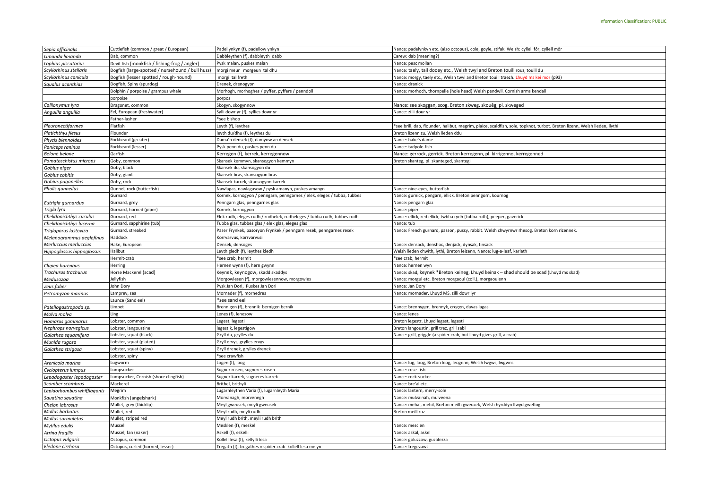| Sepia officinalis          | Cuttlefish (common / great / European)           | Padel ynkyn (f), padellow ynkyn                                         | Nance: padelynkyn etc. (also octopus), cole, goyle, stifak. Welsh: cyllell fôr, cyllell môr                               |
|----------------------------|--------------------------------------------------|-------------------------------------------------------------------------|---------------------------------------------------------------------------------------------------------------------------|
| Limanda limanda            | Dab, common                                      | Dabbleythen (f), dabbleyth dabb                                         | Carew: dab (meaning?)                                                                                                     |
| ophius piscatorius         | Devil-fish (monkfish / fishing-frog / angler)    | Pysk malan, puskes malan                                                | Nance: pesc mollan                                                                                                        |
| Scyliorhinus stellaris     | Dogfish (large-spotted / nursehound / bull huss) | morgi meur morgeun tal dhu                                              | Nance: taely, tail dooey etc., Welsh twyl and Breton touill rouz, touill du                                               |
| Scyliorhinus canicula      | Dogfish (lesser spotted / rough-hound)           | morgi tal freth                                                         | Nance: morgy, taely etc., Welsh twyl and Breton touill traezh. Lhuyd ms kei mor (p93)                                     |
| Squalus acanthias          | Dogfish, Spiny (spurdog)                         | Drenek, drenogyon                                                       | Nance: dranick                                                                                                            |
|                            | Dolphin / porpoise / grampus whale               | Morhogh, morhoghes / pyffer, pyffers / penndoll                         | Nance: morhoch, thornpelle (hole head) Welsh pendwll. Cornish arms kendall                                                |
|                            | porpoise                                         | oorpos                                                                  |                                                                                                                           |
| Callionymus lyra           | Dragonet, common                                 | Skogyn, skogynnow                                                       | Nance: see skoggan, scog. Breton skweg, skouêg, pl. skweged                                                               |
| Anguilla anguilla          | Eel, European (freshwater)                       | Sylli dowr yr (f), syllies dowr yr                                      | Nance: zilli dour yr                                                                                                      |
|                            | Father-lasher                                    | see bishop                                                              |                                                                                                                           |
| Pleuronectiformes          | Flatfish                                         | eyth (f), leythes                                                       | *see brill, dab, flounder, halibut, megrim, plaice, scaldfish, sole, topknot, turbot. Breton lizenn, Welsh lleden, llythi |
| Platichthys flesus         | Flounder                                         | eyth du/dhu (f), leythes du                                             | Breton lizenn zu, Welsh lleden ddu                                                                                        |
| Phycis blennoides          | Forkbeard (greater)                              | Dama'n densek (f), damyow an densek                                     | Nance: hake's dame                                                                                                        |
| Raniceps raninus           | Forkbeard (lesser)                               | Pysk penn du, puskes penn du                                            | Nance: tadpole-fish                                                                                                       |
| Belone belone              | Garfish                                          | Kerregen (f), kerrek, kerregennow                                       | Nance: gerrock, gerrick. Breton kerregenn, pl. kirrigenno, kerregenned                                                    |
| Pomatoschistus microps     | Goby, common                                     | Skansek kemmyn, skansogyon kemmyn                                       | Breton skanteg, pl. skanteged, skantegi                                                                                   |
| Gobius niger               | Goby, black                                      | Skansek du, skansogyon du                                               |                                                                                                                           |
| Gobius cobitis             | Goby, giant                                      | Skansek bras, skansogyon bras                                           |                                                                                                                           |
| Gobius paganellus          | Goby, rock                                       | Skansek karrek, skansogyon karrek                                       |                                                                                                                           |
| Pholis gunnellus           | Gunnel, rock (butterfish)                        | Nawlagas, nawlagasow / pysk amanyn, puskes amanyn                       | Nance: nine-eyes, butterfish                                                                                              |
|                            | Gurnard                                          | Kornek, kornogyon / penngarn, penngarnes / elek, eleges / tubba, tubbes | Nance: gurnick, pengarn, ellick. Breton penngorn, kournog                                                                 |
| Eutrigla gurnardus         | Gurnard, grey                                    | Penngarn glas, penngarnes glas                                          | Nance: pengarn glaz                                                                                                       |
| Trigla lyra                | Gurnard, horned (piper)                          | Kornek, kornogyon                                                       | Nance: piper                                                                                                              |
| Chelidonichthys cuculus    | Gurnard, red                                     | Elek rudh, eleges rudh / rudhelek, rudheleges / tubba rudh, tubbes rudh | Nance: ellick, red ellick, twbba rydh (tubba ruth), peeper, gaverick                                                      |
| Chelidonichthys lucerna    | Gurnard, sapphirine (tub)                        | Fubba glas, tubbes glas / elek glas, eleges glas                        | Nance: tub                                                                                                                |
| Trigloporus lastoviza      | Gurnard, streaked                                | Paser Frynkek, pasoryon Frynkek / penngarn resek, penngarnes resek      | Nance: French gurnard, passon, pussy, rabbit. Welsh chwyrnwr rhesog. Breton korn rizennek.                                |
| Melanogrammus aeglefinus   | Haddock                                          | Korrvarvus, korrvarvusi                                                 |                                                                                                                           |
| Merluccius merluccius      | Hake, European                                   | Densek, densoges                                                        | Nance: densack, denshoc, denjack, dynsak, tinsack                                                                         |
| Hippoglossus hippoglossus  | Halibut                                          | Leyth gledh (f), leythes kledh                                          | Welsh lleden chwith, lythi, Breton leizenn, Nance: lug-a-leaf, karlath                                                    |
|                            | Hermit-crab                                      | see crab, hermit                                                        | *see crab, hermit                                                                                                         |
| Clupea harengus            | lerring                                          | lernen wynn (f), hern gwynn                                             | Nance: hernen wyn                                                                                                         |
| Trachurus trachurus        | Horse Mackerel (scad)                            | (eynek, keynogow, skadd skaddys                                         | Nance: skad, keynek *Breton keineg, Lhuyd keinak - shad should be scad (Lhuyd ms skad)                                    |
| Medusozoa                  | Jellyfish                                        | Morgowlesen (f), morgowlesennow, morgowles                              | Nance: morgul etc. Breton morgaoul (coll.), morgaoulenn                                                                   |
| Zeus faber                 | John Dory                                        | Pysk Jan Dori, Puskes Jan Dori                                          | Nance: Jan Dory                                                                                                           |
| Petromyzon marinus         | Lamprey, sea                                     | Mornader (f), mornedres                                                 | Nance: mornader. Lhuyd MS. zilli dowr iyr                                                                                 |
|                            | Launce (Sand eel)                                | see sand eel*                                                           |                                                                                                                           |
| Patellogastropoda sp.      | Limpet                                           | Brennigen (f), brennik bernigen bernik                                  | Nance: brennygen, brennyk, crogen, davas lagas                                                                            |
| Molva molva                | .ing                                             | enes (f), lenesow.                                                      | Nance: lenes                                                                                                              |
| Homarus gammarus           | Lobster, common                                  | egest, legesti                                                          | Breton legestr. Lhuyd legast, legesti                                                                                     |
| Nephrops norvegicus        | Lobster, langoustine                             | egestik, legestigow                                                     | Breton langoustin, grill trez, grill sabl                                                                                 |
| Galathea squamifera        | Lobster, squat (black)                           | Gryll du, grylles du                                                    | Nance: grill, griggle (a spider crab, but Lhuyd gives grill, a crab)                                                      |
| Munida rugosa              | obster, squat (plated)                           | Gryll ervys, grylles ervys                                              |                                                                                                                           |
| Galathea strigosa          | Lobster, squat (spiny)                           | Gryll drenek, grylles drenek                                            |                                                                                                                           |
|                            | Lobster, spiny                                   | see crawfish                                                            |                                                                                                                           |
| Arenicola marina           | ugworm                                           | ogen (f), loog                                                          | Nance: lug, loog, Breton leog, leogenn, Welsh lwgws, lwgwns                                                               |
| Cyclopterus lumpus         | Lumpsucker                                       | Sugner rosen, sugneres rosen                                            | Nance: rose-fish                                                                                                          |
| epadogaster lepadogaster   | Lumpsucker, Cornish (shore clingfish)            | Sugner karrek, sugneres karrek                                          | Nance: rock-sucker                                                                                                        |
| Scomber scombrus           | Mackerel                                         | Brithel, brithyli                                                       | Nance: bre'al etc.                                                                                                        |
| Lepidorhombus whiffiagonis | Megrim                                           | ugarnleythen Varia (f), lugarnleyth Maria                               | Nance: lantern, merry-sole                                                                                                |
| Squatina squatina          | Monkfish (angelshark)                            | Morvanagh, morvenegh                                                    | Nance: mulvainah, mulveena                                                                                                |
| Chelon labrosus            | Mullet, grey (thicklip)                          | Meyl gweusek, meyli gweusek                                             | Nance: mehal, mehil, Breton meilh gweuzek, Welsh hyrddyn llwyd gweflog                                                    |
| Mullus barbatus            | Mullet, red                                      | Meyl rudh, meyli rudh                                                   | Breton meill ruz                                                                                                          |
| Mullus surmuletus          | Mullet, striped red                              | Meyl rudh brith, meyli rudh brith                                       |                                                                                                                           |
| Mytilus edulis             | Mussel                                           | Mesklen (f), meskel                                                     | Nance: mesclen                                                                                                            |
| Atrina fragilis            | Mussel, fan (naker)                              | Askell (f), eskelli                                                     | Nance: askal, askel                                                                                                       |
| Octopus vulgaris           | Octopus, common                                  | Kollell lesa (f), kellylli lesa                                         | Nance: goluzzow, guzalezza                                                                                                |
| Eledone cirrhosa           | Octopus, curled (horned, lesser)                 | Tregath (f), tregathes = spider crab kollell lesa melyn                 | Nance: tregezawt                                                                                                          |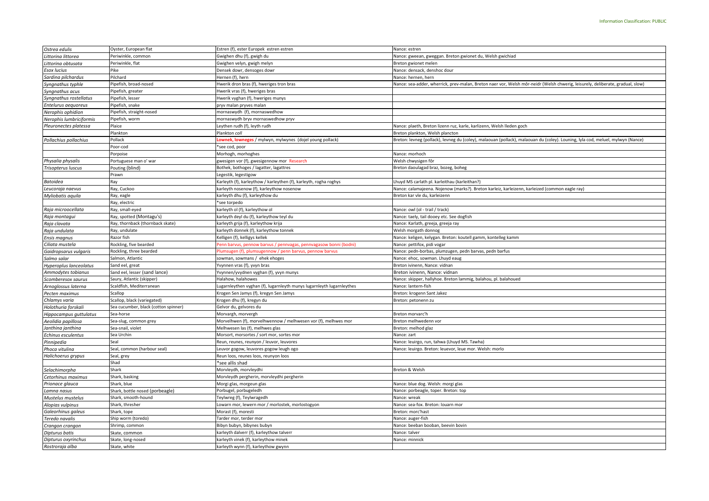| Ostrea edulis                          | Oyster, European flat                | Estren (f), ester Europek estren estren                                     | Vance: estren                                                                                                                   |
|----------------------------------------|--------------------------------------|-----------------------------------------------------------------------------|---------------------------------------------------------------------------------------------------------------------------------|
| Littorina littorea                     | Periwinkle, common                   | Gwighen dhu (f), gwigh du                                                   | Nance: gweean, gweggan. Breton gwionet du, Welsh gwichiad                                                                       |
| Littorina obtusata                     | Periwinkle, flat                     | Gwighen velyn, gwigh melyn                                                  | Breton gwionet melen                                                                                                            |
|                                        | Pike                                 |                                                                             |                                                                                                                                 |
| Esox lucius                            | Pilchard                             | Densek dowr, densoges dowr                                                  | Nance: densack, denshoc dour                                                                                                    |
| Sardina pilchardus                     |                                      | Hernen (f), hern                                                            | Nance: hernen, hern                                                                                                             |
| Syngnathus typhle                      | ipefish, broad-nosed                 | Hwerik dron bras (f), hweriges tron bras                                    | Nance: sea-adder, wherrick, prev-malan, Breton naer vor, Welsh môr-neidr (Welsh chwerig, leisurely, deliberate, gradual, slow)  |
| Syngnathus acus                        | Pipefish, greater                    | Hwerik vras (f), hweriges bras                                              |                                                                                                                                 |
| Syngnathus rostellatus                 | ipefish, lesser                      | Hwerik vyghan (f), hweriges munys                                           |                                                                                                                                 |
| Entelurus aequoreus                    | Pipefish, snake                      | pryv malan pryves malan                                                     |                                                                                                                                 |
| Nerophis ophidion                      | ipefish, straight-nosed              | mornaswydh (f), mornaswedhow                                                |                                                                                                                                 |
| Nerophis lumbriciformis                | Pipefish, worm                       | mornaswydh bryv mornaswedhow pryv                                           |                                                                                                                                 |
| Pleuronectes platessa                  | Plaice                               | Leythen rudh (f), leyth rudh                                                | Nance: plaeth, Breton lizenn ruz, karle, karlizenn, Welsh lleden goch                                                           |
|                                        | Plankton                             | Plankton coll                                                               | Breton plankton, Welsh plancton                                                                                                 |
| Pollachius pollachius                  | Pollack                              | ownek, lowneges / mylwyn, mylwynes (dojel young pollack)                    | Breton: levneg (pollack), levneg du (coley), malaouan (pollack), malaouan du (coley). Louning, lyla cod, meluel, mylwyn (Nance) |
|                                        | oor-cod                              | 'see cod, poor                                                              |                                                                                                                                 |
|                                        | Porpoise                             | Morhogh, morhoghes                                                          | Nance: morhoch                                                                                                                  |
| Physalia physalis                      | Portuguese man o' war                | gwesigen vor (f), gwesigennow mor Research                                  | Welsh chwysigen fôr                                                                                                             |
| Trisopterus luscus                     | Pouting (blind)                      | Bothek, bothoges / lagatter, lagattres                                      | Breton daoulagad braz, bozeg, boheg                                                                                             |
|                                        | Prawn                                | Legestik, legestigow                                                        |                                                                                                                                 |
| Batoidea                               | Ray                                  | Karleyth (f), karleythow / karleythen (f), karleyth, rogha roghys           | huyd MS carlath pl. karleithau (karleithan?)                                                                                    |
| Leucoraja naevus                       | Ray, Cuckoo                          | karleyth nosenow (f), karleythow nosenow                                    | Nance: calamajeena. Nojenow (marks?). Breton karleiz, karleizenn, karleized (common eagle ray)                                  |
| Myliobatis aquila                      | Ray, eagle                           | karleyth dhu (f), karleythow du                                             | Breton kar vle du, karleizenn                                                                                                   |
|                                        | Ray, electric                        | *see torpedo                                                                |                                                                                                                                 |
| Raja microocellata                     | Ray, small-eyed                      | karleyth ol (f), karleythow ol                                              | Vance: owl (ol - trail / track)                                                                                                 |
| Raja montagui                          | Ray, spotted (Montagu's)             | karleyth deyl du (f), karleythow teyl du                                    | Nance: taely, tail dooey etc. See dogfish                                                                                       |
| Raja clavata                           | Ray, thornback (thornback skate)     | karleyth grija (f), karleythow krija                                        | Vance: Karlath, greeja, greeja ray                                                                                              |
| Raja undulata                          | Ray, undulate                        | karleyth donnek (f), karleythow tonnek                                      | Welsh morgath donnog                                                                                                            |
| Ensis magnus                           | Razor fish                           | Kelligen (f), kelligys kellek                                               | Nance: keligen, kelygan. Breton: koutell gamm, kontelleg kamm                                                                   |
| Ciliata mustela                        | Rockling, five bearded               | enn barvus, pennow barvus / pennvagas, pennvagasow bonni (bodni             | Nance: pettifox, pidi vogar                                                                                                     |
| Gaidropsarus vulgaris                  | Rockling, three bearded              | lumsugen (f), plumsugennow / penn barvus, pennow barvus                     | Nance: pedn-borbas, plumzugen, pedn barvas, pedn barfus                                                                         |
| Salmo salar                            | Salmon, Atlantic                     | sowman, sowmans / ehek ehoges                                               | Nance: ehoc, sowman. Lhuyd eaug                                                                                                 |
|                                        |                                      |                                                                             |                                                                                                                                 |
|                                        |                                      |                                                                             |                                                                                                                                 |
| Hyperoplus lanceolatus                 | Sand eel, great                      | Yvynnen vras (f), yvyn bras                                                 | Breton ivinenn, Nance: vidnan<br>Breton ivinenn, Nance: vidnan                                                                  |
| Ammodytes tobianus                     | Sand eel, lesser (sand lance)        | Yvynnen/yvydnen vyghan (f), yvyn munys                                      |                                                                                                                                 |
| Scomberesox saurus                     | Saury, Atlantic (skipper)            | Halahow, halahowes                                                          | Nance: skipper, hallyhoe. Breton lammig, balahou, pl. balahoued                                                                 |
| Arnoglossus laterna                    | Scaldfish, Mediterranean             | Lugarnleythen vyghan (f), lugarnleyth munys lugarnleyth lugarnleythes       | Vance: lantern-fish                                                                                                             |
| Pecten maximus                         | Scallop                              | Krogen Sen Jamys (f), kregyn Sen Jamys                                      | Breton: krogenn Sant Jakez                                                                                                      |
| Chlamys varia                          | Scallop, black (variegated)          | Krogen dhu (f), kregyn du                                                   | Breton: petonenn zu                                                                                                             |
| Holothuria forskali                    | Sea cucumber, black (cotton spinner) | Gelvor du, gelvores du                                                      |                                                                                                                                 |
| Hippocampus guttulatus                 | Sea-horse                            | Morvargh, morvergh                                                          | Breton morvarc'h                                                                                                                |
| Aeolidia papillosa                     | Sea-slug, common grey                | Morvelhwen (f), morvelhwennow / melhwesen vor (f), melhwes mor              | Breton melhwedenn vor                                                                                                           |
| Janthina janthina                      | Sea-snail, violet                    | Melhwesen las (f), melhwes glas                                             | Breton: melhod glaz                                                                                                             |
| Echinus esculentus                     | Sea Urchin                           | Morsort, morsortes / sort mor, sortes mor                                   | <b>Nance: zart</b>                                                                                                              |
| Pinnipedia                             | Seal                                 | Reun, reunes, reunyon / leuvor, leuvores                                    | Vance: leuirgo, run, tahwa (Lhuyd MS. Tawha)                                                                                    |
| Phoca vitulina                         | Seal, common (harbour seal)          | Leuvor gogow, leuvores gogow leugh ogo                                      | Nance: leuirgo. Breton: leuevor, leue mor. Welsh: morlo                                                                         |
| Halichoerus grypus                     | Seal, grey                           | Reun loos, reunes loos, reunyon loos                                        |                                                                                                                                 |
|                                        | Shad                                 | *see allis shad                                                             |                                                                                                                                 |
| Selachimorpha                          | Shark                                | Morvleydh, morvleydhi                                                       | Breton & Welsh                                                                                                                  |
| Cetorhinus maximus                     | Shark, basking                       | Morvleydh pergherin, morvleydhi pergherin                                   |                                                                                                                                 |
| Prionace glauca                        | Shark, blue                          | Morgi glas, morgeun glas                                                    | Vance: blue dog. Welsh: morgi glas                                                                                              |
| Lamna nasus                            | Shark, bottle nosed (porbeagle)      | Porbugel, porbugeledh                                                       | Vance: porbeagle, toper. Breton: top                                                                                            |
| Mustelus mustelus                      | Shark, smooth-hound                  | Teylwreg (f), Teylwragedh                                                   | <b>Nance: wreak</b>                                                                                                             |
| Alopias vulpinus                       | Shark, thresher                      | Lowarn mor, lewern mor / morlostek, morlostogyon                            | Nance: sea-fox. Breton: louarn mor                                                                                              |
| Galeorhinus galeus                     | Shark, tope                          | Morast (f), moresti                                                         | Breton: morc'hast                                                                                                               |
| Teredo navalis                         | Ship worm (toredo)                   | Tarder mor, terder mor                                                      | Vance: auger-fish                                                                                                               |
| Crangon crangon                        | Shrimp, common                       | Bibyn bubyn, bibynes bubyn                                                  | Nance: beeban booban, beevin bovin                                                                                              |
| Dipturus batis                         | Skate, common                        | karleyth dalverr (f), karleythow talverr                                    | Nance: talver                                                                                                                   |
| Dipturus oxyrinchus<br>Rostroraja alba | Skate, long-nosed<br>Skate, white    | karleyth vinek (f), karleythow minek<br>karleyth wynn (f), karleythow gwynn | Nance: minnick                                                                                                                  |